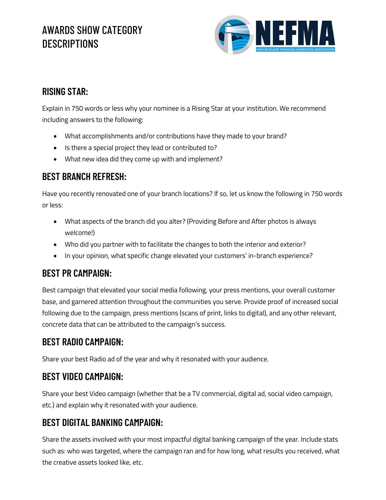# AWARDS SHOW CATEGORY **DESCRIPTIONS**



### **RISING STAR:**

Explain in 750 words or less why your nominee is a Rising Star at your institution. We recommend including answers to the following:

- What accomplishments and/or contributions have they made to your brand?
- Is there a special project they lead or contributed to?
- What new idea did they come up with and implement?

### **BEST BRANCH REFRESH:**

Have you recently renovated one of your branch locations? If so, let us know the following in 750 words or less:

- What aspects of the branch did you alter? (Providing Before and After photos is always welcome!)
- Who did you partner with to facilitate the changes to both the interior and exterior?
- In your opinion, what specific change elevated your customers' in-branch experience?

## **BEST PR CAMPAIGN:**

Best campaign that elevated your social media following, your press mentions, your overall customer base, and garnered attention throughout the communities you serve. Provide proof of increased social following due to the campaign, press mentions (scans of print, links to digital), and any other relevant, concrete data that can be attributed to the campaign's success.

### **BEST RADIO CAMPAIGN:**

Share your best Radio ad of the year and why it resonated with your audience.

### **BEST VIDEO CAMPAIGN:**

Share your best Video campaign (whether that be a TV commercial, digital ad, social video campaign, etc.) and explain why it resonated with your audience.

### **BEST DIGITAL BANKING CAMPAIGN:**

Share the assets involved with your most impactful digital banking campaign of the year. Include stats such as: who was targeted, where the campaign ran and for how long, what results you received, what the creative assets looked like, etc.